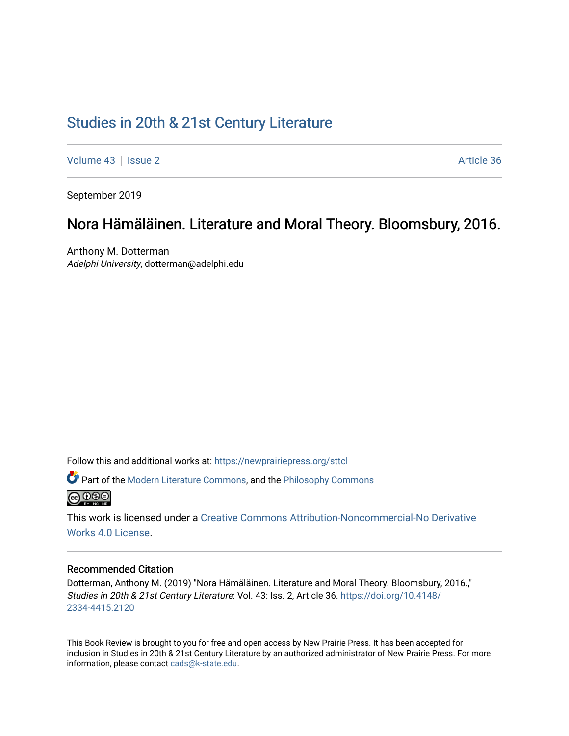# [Studies in 20th & 21st Century Literature](https://newprairiepress.org/sttcl)

[Volume 43](https://newprairiepress.org/sttcl/vol43) | [Issue 2](https://newprairiepress.org/sttcl/vol43/iss2) Article 36

September 2019

## Nora Hämäläinen. Literature and Moral Theory. Bloomsbury, 2016.

Anthony M. Dotterman Adelphi University, dotterman@adelphi.edu

Follow this and additional works at: [https://newprairiepress.org/sttcl](https://newprairiepress.org/sttcl?utm_source=newprairiepress.org%2Fsttcl%2Fvol43%2Fiss2%2F36&utm_medium=PDF&utm_campaign=PDFCoverPages) 

Part of the [Modern Literature Commons,](http://network.bepress.com/hgg/discipline/1050?utm_source=newprairiepress.org%2Fsttcl%2Fvol43%2Fiss2%2F36&utm_medium=PDF&utm_campaign=PDFCoverPages) and the [Philosophy Commons](http://network.bepress.com/hgg/discipline/525?utm_source=newprairiepress.org%2Fsttcl%2Fvol43%2Fiss2%2F36&utm_medium=PDF&utm_campaign=PDFCoverPages)  **@000** 

This work is licensed under a [Creative Commons Attribution-Noncommercial-No Derivative](https://creativecommons.org/licenses/by-nc-nd/4.0/)  [Works 4.0 License](https://creativecommons.org/licenses/by-nc-nd/4.0/).

#### Recommended Citation

Dotterman, Anthony M. (2019) "Nora Hämäläinen. Literature and Moral Theory. Bloomsbury, 2016.," Studies in 20th & 21st Century Literature: Vol. 43: Iss. 2, Article 36. [https://doi.org/10.4148/](https://doi.org/10.4148/2334-4415.2120) [2334-4415.2120](https://doi.org/10.4148/2334-4415.2120) 

This Book Review is brought to you for free and open access by New Prairie Press. It has been accepted for inclusion in Studies in 20th & 21st Century Literature by an authorized administrator of New Prairie Press. For more information, please contact [cads@k-state.edu](mailto:cads@k-state.edu).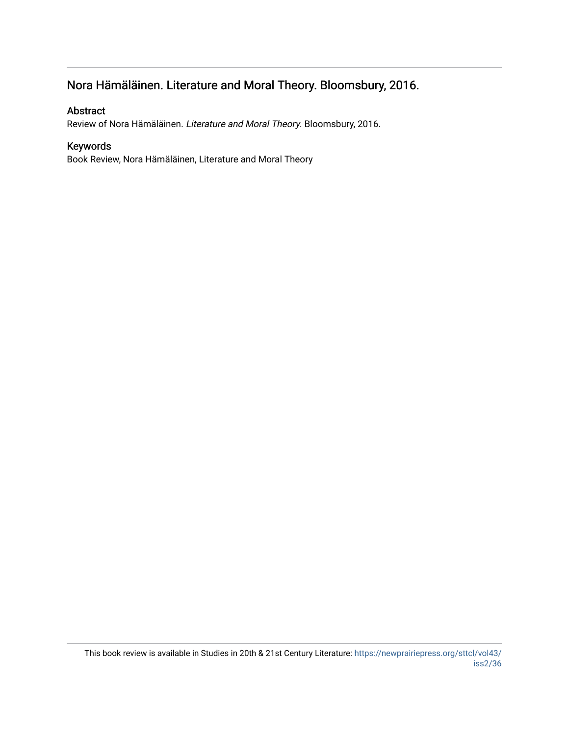## Nora Hämäläinen. Literature and Moral Theory. Bloomsbury, 2016.

#### Abstract

Review of Nora Hämäläinen. Literature and Moral Theory. Bloomsbury, 2016.

#### Keywords

Book Review, Nora Hämäläinen, Literature and Moral Theory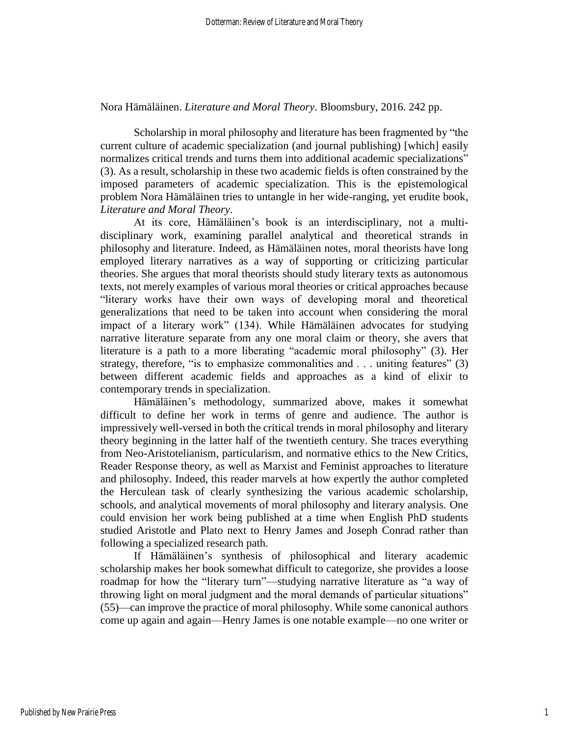Nora Hämäläinen. *Literature and Moral Theory*. Bloomsbury, 2016. 242 pp.

Scholarship in moral philosophy and literature has been fragmented by "the current culture of academic specialization (and journal publishing) [which] easily normalizes critical trends and turns them into additional academic specializations" (3). As a result, scholarship in these two academic fields is often constrained by the imposed parameters of academic specialization. This is the epistemological problem Nora Hämäläinen tries to untangle in her wide-ranging, yet erudite book, *Literature and Moral Theory*.

At its core, Hämäläinen's book is an interdisciplinary, not a multidisciplinary work, examining parallel analytical and theoretical strands in philosophy and literature. Indeed, as Hämäläinen notes, moral theorists have long employed literary narratives as a way of supporting or criticizing particular theories. She argues that moral theorists should study literary texts as autonomous texts, not merely examples of various moral theories or critical approaches because "literary works have their own ways of developing moral and theoretical generalizations that need to be taken into account when considering the moral impact of a literary work" (134). While Hämäläinen advocates for studying narrative literature separate from any one moral claim or theory, she avers that literature is a path to a more liberating "academic moral philosophy" (3). Her strategy, therefore, "is to emphasize commonalities and . . . uniting features" (3) between different academic fields and approaches as a kind of elixir to contemporary trends in specialization.

Hämäläinen's methodology, summarized above, makes it somewhat difficult to define her work in terms of genre and audience. The author is impressively well-versed in both the critical trends in moral philosophy and literary theory beginning in the latter half of the twentieth century. She traces everything from Neo-Aristotelianism, particularism, and normative ethics to the New Critics, Reader Response theory, as well as Marxist and Feminist approaches to literature and philosophy. Indeed, this reader marvels at how expertly the author completed the Herculean task of clearly synthesizing the various academic scholarship, schools, and analytical movements of moral philosophy and literary analysis. One could envision her work being published at a time when English PhD students studied Aristotle and Plato next to Henry James and Joseph Conrad rather than following a specialized research path.

If Hämäläinen's synthesis of philosophical and literary academic scholarship makes her book somewhat difficult to categorize, she provides a loose roadmap for how the "literary turn"—studying narrative literature as "a way of throwing light on moral judgment and the moral demands of particular situations" (55)—can improve the practice of moral philosophy. While some canonical authors come up again and again—Henry James is one notable example—no one writer or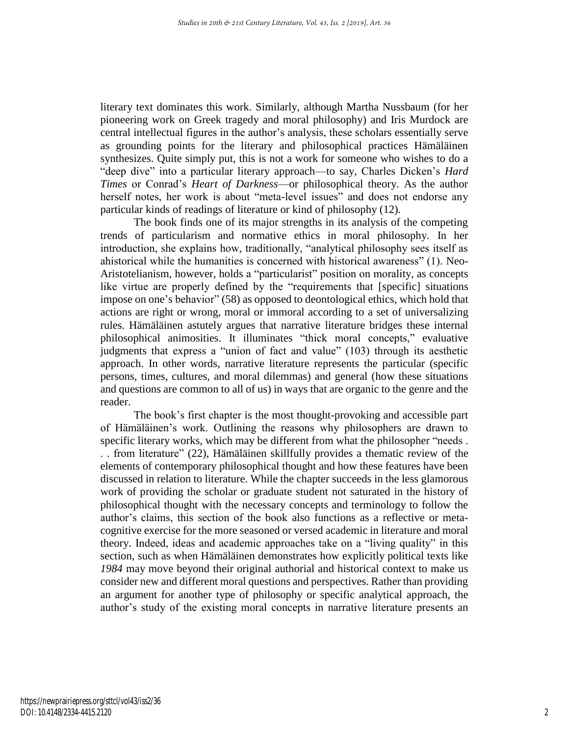literary text dominates this work. Similarly, although Martha Nussbaum (for her pioneering work on Greek tragedy and moral philosophy) and Iris Murdock are central intellectual figures in the author's analysis, these scholars essentially serve as grounding points for the literary and philosophical practices Hämäläinen synthesizes. Quite simply put, this is not a work for someone who wishes to do a "deep dive" into a particular literary approach—to say, Charles Dicken's *Hard Times* or Conrad's *Heart of Darkness*—or philosophical theory. As the author herself notes, her work is about "meta-level issues" and does not endorse any particular kinds of readings of literature or kind of philosophy (12).

The book finds one of its major strengths in its analysis of the competing trends of particularism and normative ethics in moral philosophy. In her introduction, she explains how, traditionally, "analytical philosophy sees itself as ahistorical while the humanities is concerned with historical awareness" (1). Neo-Aristotelianism, however, holds a "particularist" position on morality, as concepts like virtue are properly defined by the "requirements that [specific] situations impose on one's behavior" (58) as opposed to deontological ethics, which hold that actions are right or wrong, moral or immoral according to a set of universalizing rules. Hämäläinen astutely argues that narrative literature bridges these internal philosophical animosities. It illuminates "thick moral concepts," evaluative judgments that express a "union of fact and value" (103) through its aesthetic approach. In other words, narrative literature represents the particular (specific persons, times, cultures, and moral dilemmas) and general (how these situations and questions are common to all of us) in ways that are organic to the genre and the reader.

The book's first chapter is the most thought-provoking and accessible part of Hämäläinen's work. Outlining the reasons why philosophers are drawn to specific literary works, which may be different from what the philosopher "needs . . . from literature" (22), Hämäläinen skillfully provides a thematic review of the elements of contemporary philosophical thought and how these features have been discussed in relation to literature. While the chapter succeeds in the less glamorous work of providing the scholar or graduate student not saturated in the history of philosophical thought with the necessary concepts and terminology to follow the author's claims, this section of the book also functions as a reflective or metacognitive exercise for the more seasoned or versed academic in literature and moral theory. Indeed, ideas and academic approaches take on a "living quality" in this section, such as when Hämäläinen demonstrates how explicitly political texts like *1984* may move beyond their original authorial and historical context to make us consider new and different moral questions and perspectives. Rather than providing an argument for another type of philosophy or specific analytical approach, the author's study of the existing moral concepts in narrative literature presents an